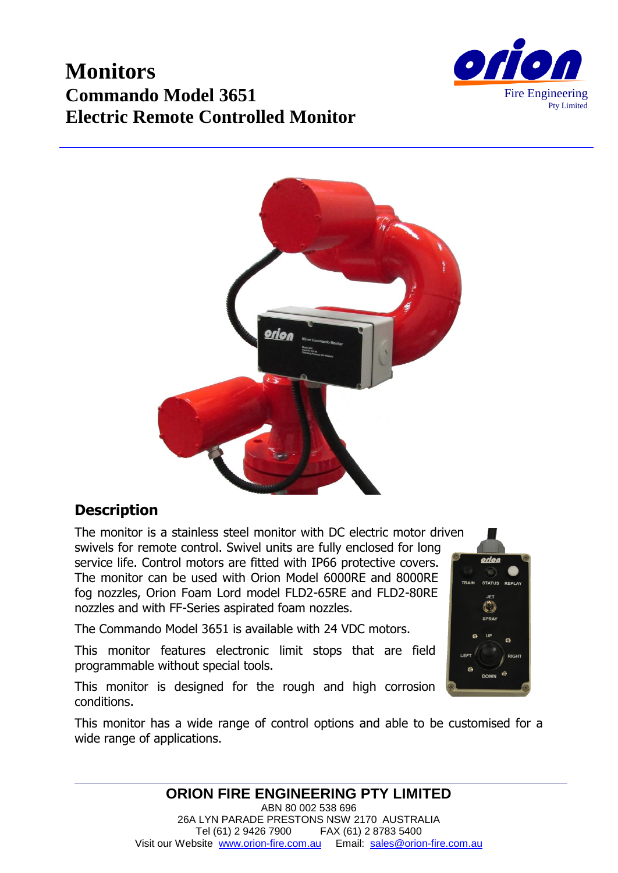# **Monitors Commando Model 3651 Electric Remote Controlled Monitor**





### **Description**

The monitor is a stainless steel monitor with DC electric motor driven swivels for remote control. Swivel units are fully enclosed for long service life. Control motors are fitted with IP66 protective covers. The monitor can be used with Orion Model 6000RE and 8000RE fog nozzles, Orion Foam Lord model FLD2-65RE and FLD2-80RE nozzles and with FF-Series aspirated foam nozzles.

The Commando Model 3651 is available with 24 VDC motors.

This monitor features electronic limit stops that are field programmable without special tools.

This monitor is designed for the rough and high corrosion conditions.

This monitor has a wide range of control options and able to be customised for a wide range of applications.



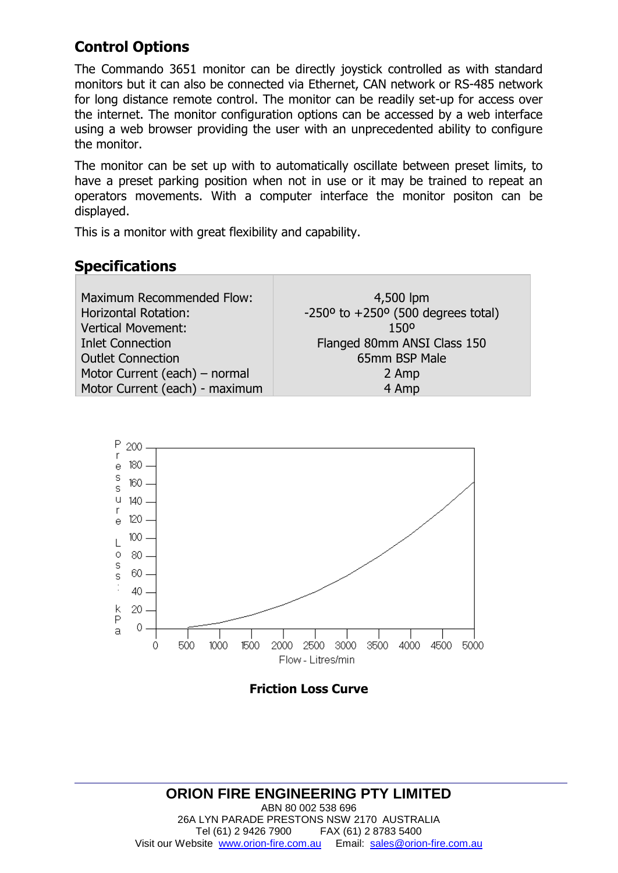# **Control Options**

The Commando 3651 monitor can be directly joystick controlled as with standard monitors but it can also be connected via Ethernet, CAN network or RS-485 network for long distance remote control. The monitor can be readily set-up for access over the internet. The monitor configuration options can be accessed by a web interface using a web browser providing the user with an unprecedented ability to configure the monitor.

The monitor can be set up with to automatically oscillate between preset limits, to have a preset parking position when not in use or it may be trained to repeat an operators movements. With a computer interface the monitor positon can be displayed.

This is a monitor with great flexibility and capability.

### **Specifications**

| Maximum Recommended Flow:      | 4,500 lpm                                                      |
|--------------------------------|----------------------------------------------------------------|
| <b>Horizontal Rotation:</b>    | $-250$ <sup>o</sup> to $+250$ <sup>o</sup> (500 degrees total) |
| <b>Vertical Movement:</b>      | 1500                                                           |
| <b>Inlet Connection</b>        | Flanged 80mm ANSI Class 150                                    |
| <b>Outlet Connection</b>       | 65mm BSP Male                                                  |
| Motor Current (each) - normal  | 2 Amp                                                          |
| Motor Current (each) - maximum | 4 Amp                                                          |
|                                |                                                                |



**Friction Loss Curve**

#### **ORION FIRE ENGINEERING PTY LIMITED** ABN 80 002 538 696 26A LYN PARADE PRESTONS NSW 2170 AUSTRALIA Tel (61) 2 9426 7900 FAX (61) 2 8783 5400 Visit our Website [www.orion-fire.com.au](http://www.orion-fire.com.au/) Email: [sales@orion-fire.com.au](mailto:sales@orion-fire.com.au)